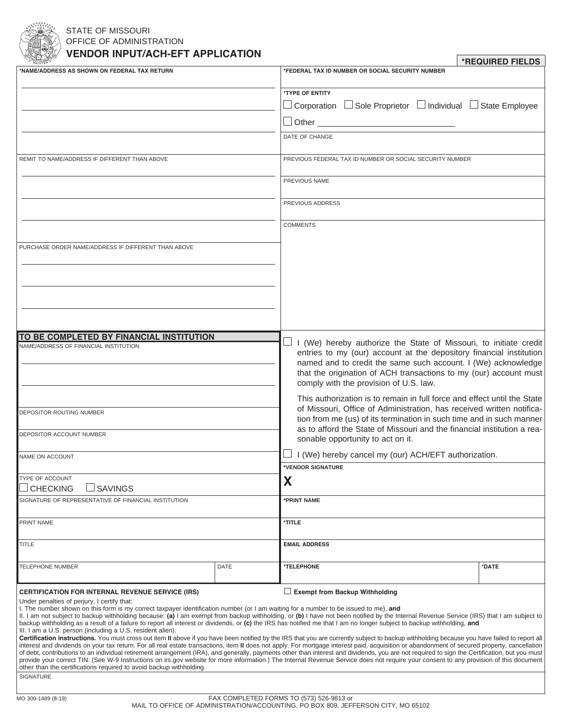

# STATE OF MISSOURI OFFICE OF ADMINISTRATION **VENDOR INPUT/ACH-EFT APPLICATION**

| VENDON INFOTACH-EFT AFFLICATION<br>*REQUIRED FIELDS                                                                                                                                 |      |                                                                                                                                                                                                                                                                                                                                                                                               |       |
|-------------------------------------------------------------------------------------------------------------------------------------------------------------------------------------|------|-----------------------------------------------------------------------------------------------------------------------------------------------------------------------------------------------------------------------------------------------------------------------------------------------------------------------------------------------------------------------------------------------|-------|
| 'NAME/ADDRESS AS SHOWN ON FEDERAL TAX RETURN                                                                                                                                        |      | *FEDERAL TAX ID NUMBER OR SOCIAL SECURITY NUMBER                                                                                                                                                                                                                                                                                                                                              |       |
|                                                                                                                                                                                     |      | *TYPE OF ENTITY                                                                                                                                                                                                                                                                                                                                                                               |       |
|                                                                                                                                                                                     |      | $\Box$ Corporation $\Box$ Sole Proprietor $\Box$ Individual $\Box$ State Employee                                                                                                                                                                                                                                                                                                             |       |
|                                                                                                                                                                                     |      | $\Box$ Other                                                                                                                                                                                                                                                                                                                                                                                  |       |
|                                                                                                                                                                                     |      | DATE OF CHANGE                                                                                                                                                                                                                                                                                                                                                                                |       |
| REMIT TO NAME/ADDRESS IF DIFFERENT THAN ABOVE                                                                                                                                       |      | PREVIOUS FEDERAL TAX ID NUMBER OR SOCIAL SECURITY NUMBER                                                                                                                                                                                                                                                                                                                                      |       |
|                                                                                                                                                                                     |      | PREVIOUS NAME                                                                                                                                                                                                                                                                                                                                                                                 |       |
|                                                                                                                                                                                     |      | PREVIOUS ADDRESS                                                                                                                                                                                                                                                                                                                                                                              |       |
|                                                                                                                                                                                     |      | <b>COMMENTS</b>                                                                                                                                                                                                                                                                                                                                                                               |       |
| PURCHASE ORDER NAME/ADDRESS IF DIFFERENT THAN ABOVE                                                                                                                                 |      |                                                                                                                                                                                                                                                                                                                                                                                               |       |
|                                                                                                                                                                                     |      |                                                                                                                                                                                                                                                                                                                                                                                               |       |
|                                                                                                                                                                                     |      |                                                                                                                                                                                                                                                                                                                                                                                               |       |
|                                                                                                                                                                                     |      |                                                                                                                                                                                                                                                                                                                                                                                               |       |
|                                                                                                                                                                                     |      |                                                                                                                                                                                                                                                                                                                                                                                               |       |
| TO BE COMPLETED BY FINANCIAL INSTITUTION<br><b>NAME/ADDRESS OF FINANCIAL INSTITUTION</b>                                                                                            |      | I (We) hereby authorize the State of Missouri, to initiate credit<br>$\overline{\phantom{a}}$                                                                                                                                                                                                                                                                                                 |       |
|                                                                                                                                                                                     |      | entries to my (our) account at the depository financial institution                                                                                                                                                                                                                                                                                                                           |       |
|                                                                                                                                                                                     |      | named and to credit the same such account. I (We) acknowledge<br>that the origination of ACH transactions to my (our) account must                                                                                                                                                                                                                                                            |       |
|                                                                                                                                                                                     |      | comply with the provision of U.S. law.                                                                                                                                                                                                                                                                                                                                                        |       |
|                                                                                                                                                                                     |      | This authorization is to remain in full force and effect until the State                                                                                                                                                                                                                                                                                                                      |       |
| DEPOSITOR ROUTING NUMBER                                                                                                                                                            |      | of Missouri, Office of Administration, has received written notifica-<br>tion from me (us) of its termination in such time and in such manner<br>as to afford the State of Missouri and the financial institution a rea-<br>sonable opportunity to act on it.                                                                                                                                 |       |
|                                                                                                                                                                                     |      |                                                                                                                                                                                                                                                                                                                                                                                               |       |
| DEPOSITOR ACCOUNT NUMBER                                                                                                                                                            |      |                                                                                                                                                                                                                                                                                                                                                                                               |       |
| NAME ON ACCOUNT                                                                                                                                                                     |      | I (We) hereby cancel my (our) ACH/EFT authorization.                                                                                                                                                                                                                                                                                                                                          |       |
|                                                                                                                                                                                     |      | <b>VENDOR SIGNATURE</b>                                                                                                                                                                                                                                                                                                                                                                       |       |
| <b>TYPE OF ACCOUNT</b>                                                                                                                                                              |      | X                                                                                                                                                                                                                                                                                                                                                                                             |       |
| $\sqcup$ SAVINGS<br><b>CHECKING</b><br>SIGNATURE OF REPRESENTATIVE OF FINANCIAL INSTITUTION                                                                                         |      | *PRINT NAME                                                                                                                                                                                                                                                                                                                                                                                   |       |
|                                                                                                                                                                                     |      |                                                                                                                                                                                                                                                                                                                                                                                               |       |
| PRINT NAME                                                                                                                                                                          |      | *TITLE                                                                                                                                                                                                                                                                                                                                                                                        |       |
| <b>TITLE</b>                                                                                                                                                                        |      | <b>EMAIL ADDRESS</b>                                                                                                                                                                                                                                                                                                                                                                          |       |
| TELEPHONE NUMBER                                                                                                                                                                    | DATE | *TELEPHONE                                                                                                                                                                                                                                                                                                                                                                                    | *DATE |
| <b>CERTIFICATION FOR INTERNAL REVENUE SERVICE (IRS)</b>                                                                                                                             |      | Exempt from Backup Withholding                                                                                                                                                                                                                                                                                                                                                                |       |
| Under penalties of perjury, I certify that:<br>I. The number shown on this form is my correct taxpayer identification number (or I am waiting for a number to be issued to me), and |      |                                                                                                                                                                                                                                                                                                                                                                                               |       |
|                                                                                                                                                                                     |      | II. I am not subject to backup withholding because: (a) I am exempt from backup withholding, or (b) I have not been notified by the Internal Revenue Service (IRS) that I am subject to<br>backup withholding as a result of a failure to report all interest or dividends, or (c) the IRS has notified me that I am no longer subject to backup withholding, and                             |       |
| III. I am a U.S. person (including a U.S. resident alien).                                                                                                                          |      |                                                                                                                                                                                                                                                                                                                                                                                               |       |
|                                                                                                                                                                                     |      | Certification instructions. You must cross out item II above if you have been notified by the IRS that you are currently subject to backup withholding because you have failed to report all<br>interest and dividends on your tax return. For all real estate transactions, item II does not apply. For mortgage interest paid, acquisition or abandonment of secured property, cancellation |       |
|                                                                                                                                                                                     |      | of debt, contributions to an individual retirement arrangement (IRA), and generally, payments other than interest and dividends, you are not required to sign the Certification, but you must<br>provide your correct TIN. (See W-9 Instructions on irs.gov website for more information.) The Internal Revenue Service does not require your consent to any provision of this document       |       |
| other than the certifications required to avoid backup withholding.<br>SIGNATURE                                                                                                    |      |                                                                                                                                                                                                                                                                                                                                                                                               |       |
|                                                                                                                                                                                     |      |                                                                                                                                                                                                                                                                                                                                                                                               |       |